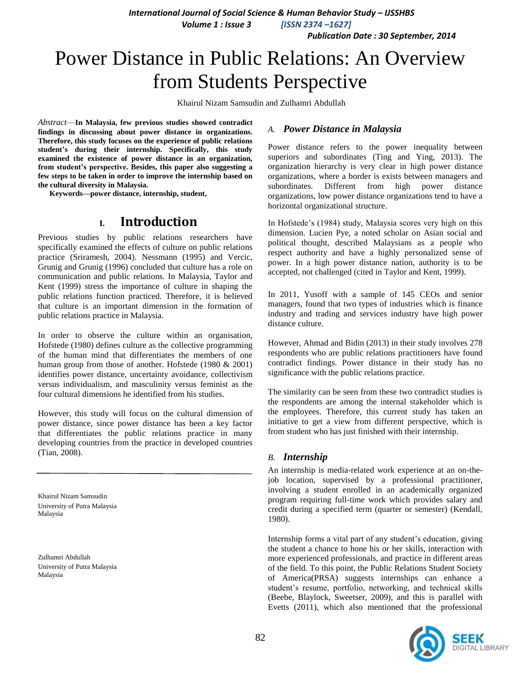**International Journal of Social Science & Human Behavior Study - IJSSHBS** 

 *Volume 1 : Issue 3 [ISSN 2374 –1627]*

 *Publication Date : 30 September, 2014*

# Power Distance in Public Relations: An Overview from Students Perspective

Khairul Nizam Samsudin and Zulhamri Abdullah

*Abstract*—**In Malaysia, few previous studies showed contradict findings in discussing about power distance in organizations. Therefore, this study focuses on the experience of public relations student's during their internship. Specifically, this study examined the existence of power distance in an organization, from student's perspective. Besides, this paper also suggesting a few steps to be taken in order to improve the internship based on the cultural diversity in Malaysia.**

**Keywords—power distance, internship, student,** 

### **I. Introduction**

Previous studies by public relations researchers have specifically examined the effects of culture on public relations practice (Sriramesh, 2004). Nessmann (1995) and Vercic, Grunig and Grunig (1996) concluded that culture has a role on communication and public relations. In Malaysia, Taylor and Kent (1999) stress the importance of culture in shaping the public relations function practiced. Therefore, it is believed that culture is an important dimension in the formation of public relations practice in Malaysia.

In order to observe the culture within an organisation, Hofstede (1980) defines culture as the collective programming of the human mind that differentiates the members of one human group from those of another. Hofstede (1980 & 2001) identifies power distance, uncertainty avoidance, collectivism versus individualism, and masculinity versus feminist as the four cultural dimensions he identified from his studies.

However, this study will focus on the cultural dimension of power distance, since power distance has been a key factor that differentiates the public relations practice in many developing countries from the practice in developed countries (Tian, 2008).

Khairul Nizam Samsudin University of Putra Malaysia Malaysia

Zulhamri Abdullah University of Putra Malaysia Malaysia

#### *A. Power Distance in Malaysia*

Power distance refers to the power inequality between superiors and subordinates (Ting and Ying, 2013). The organization hierarchy is very clear in high power distance organizations, where a border is exists between managers and subordinates. Different from high power distance organizations, low power distance organizations tend to have a horizontal organizational structure.

In Hofstede's (1984) study, Malaysia scores very high on this dimension. Lucien Pye, a noted scholar on Asian social and political thought, described Malaysians as a people who respect authority and have a highly personalized sense of power. In a high power distance nation, authority is to be accepted, not challenged (cited in Taylor and Kent, 1999).

In 2011, Yusoff with a sample of 145 CEOs and senior managers, found that two types of industries which is finance industry and trading and services industry have high power distance culture.

However, Ahmad and Bidin (2013) in their study involves 278 respondents who are public relations practitioners have found contradict findings. Power distance in their study has no significance with the public relations practice.

The similarity can be seen from these two contradict studies is the respondents are among the internal stakeholder which is the employees. Therefore, this current study has taken an initiative to get a view from different perspective, which is from student who has just finished with their internship.

#### *B. Internship*

An internship is media-related work experience at an on-thejob location, supervised by a professional practitioner, involving a student enrolled in an academically organized program requiring full-time work which provides salary and credit during a specified term (quarter or semester) (Kendall, 1980).

Internship forms a vital part of any student's education, giving the student a chance to hone his or her skills, interaction with more experienced professionals, and practice in different areas of the field. To this point, the Public Relations Student Society of America(PRSA) suggests internships can enhance a student's resume, portfolio, networking, and technical skills (Beebe, Blaylock, Sweetser, 2009), and this is parallel with Evetts (2011), which also mentioned that the professional

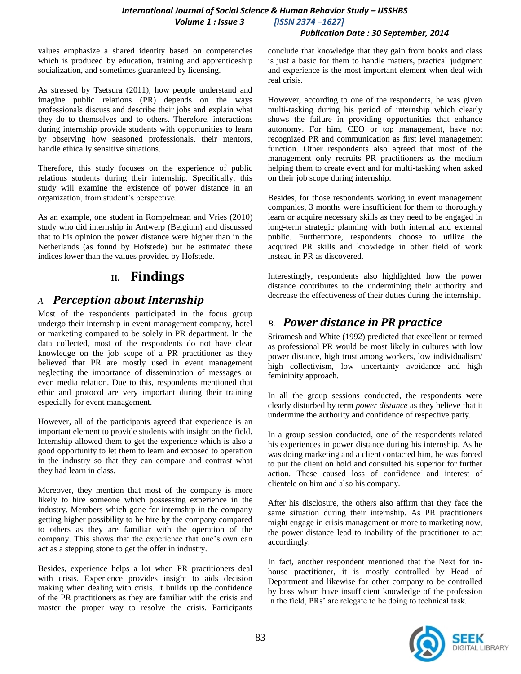### *International Journal of Social Science & Human Behavior Study – IJSSHBS Volume 1 : Issue 3 [ISSN 2374 –1627]*

#### *Publication Date : 30 September, 2014*

values emphasize a shared identity based on competencies which is produced by education, training and apprenticeship socialization, and sometimes guaranteed by licensing.

As stressed by Tsetsura (2011), how people understand and imagine public relations (PR) depends on the ways professionals discuss and describe their jobs and explain what they do to themselves and to others. Therefore, interactions during internship provide students with opportunities to learn by observing how seasoned professionals, their mentors, handle ethically sensitive situations.

Therefore, this study focuses on the experience of public relations students during their internship. Specifically, this study will examine the existence of power distance in an organization, from student's perspective.

As an example, one student in Rompelmean and Vries (2010) study who did internship in Antwerp (Belgium) and discussed that to his opinion the power distance were higher than in the Netherlands (as found by Hofstede) but he estimated these indices lower than the values provided by Hofstede.

## **II. Findings**

### *A. Perception about Internship*

Most of the respondents participated in the focus group undergo their internship in event management company, hotel or marketing compared to be solely in PR department. In the data collected, most of the respondents do not have clear knowledge on the job scope of a PR practitioner as they believed that PR are mostly used in event management neglecting the importance of dissemination of messages or even media relation. Due to this, respondents mentioned that ethic and protocol are very important during their training especially for event management.

However, all of the participants agreed that experience is an important element to provide students with insight on the field. Internship allowed them to get the experience which is also a good opportunity to let them to learn and exposed to operation in the industry so that they can compare and contrast what they had learn in class.

Moreover, they mention that most of the company is more likely to hire someone which possessing experience in the industry. Members which gone for internship in the company getting higher possibility to be hire by the company compared to others as they are familiar with the operation of the company. This shows that the experience that one's own can act as a stepping stone to get the offer in industry.

Besides, experience helps a lot when PR practitioners deal with crisis. Experience provides insight to aids decision making when dealing with crisis. It builds up the confidence of the PR practitioners as they are familiar with the crisis and master the proper way to resolve the crisis. Participants conclude that knowledge that they gain from books and class is just a basic for them to handle matters, practical judgment and experience is the most important element when deal with real crisis.

However, according to one of the respondents, he was given multi-tasking during his period of internship which clearly shows the failure in providing opportunities that enhance autonomy. For him, CEO or top management, have not recognized PR and communication as first level management function. Other respondents also agreed that most of the management only recruits PR practitioners as the medium helping them to create event and for multi-tasking when asked on their job scope during internship.

Besides, for those respondents working in event management companies, 3 months were insufficient for them to thoroughly learn or acquire necessary skills as they need to be engaged in long-term strategic planning with both internal and external public. Furthermore, respondents choose to utilize the acquired PR skills and knowledge in other field of work instead in PR as discovered.

Interestingly, respondents also highlighted how the power distance contributes to the undermining their authority and decrease the effectiveness of their duties during the internship.

### *B. Power distance in PR practice*

Sriramesh and White (1992) predicted that excellent or termed as professional PR would be most likely in cultures with low power distance, high trust among workers, low individualism/ high collectivism, low uncertainty avoidance and high femininity approach.

In all the group sessions conducted, the respondents were clearly disturbed by term *power distance* as they believe that it undermine the authority and confidence of respective party.

In a group session conducted, one of the respondents related his experiences in power distance during his internship. As he was doing marketing and a client contacted him, he was forced to put the client on hold and consulted his superior for further action. These caused loss of confidence and interest of clientele on him and also his company.

After his disclosure, the others also affirm that they face the same situation during their internship. As PR practitioners might engage in crisis management or more to marketing now, the power distance lead to inability of the practitioner to act accordingly.

In fact, another respondent mentioned that the Next for inhouse practitioner, it is mostly controlled by Head of Department and likewise for other company to be controlled by boss whom have insufficient knowledge of the profession in the field, PRs' are relegate to be doing to technical task.

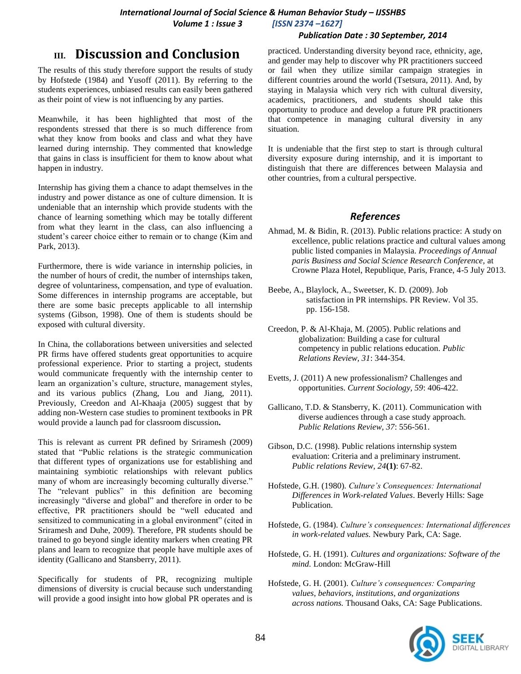#### *Publication Date : 30 September, 2014*

# **III. Discussion and Conclusion**

The results of this study therefore support the results of study by Hofstede (1984) and Yusoff (2011). By referring to the students experiences, unbiased results can easily been gathered as their point of view is not influencing by any parties.

Meanwhile, it has been highlighted that most of the respondents stressed that there is so much difference from what they know from books and class and what they have learned during internship. They commented that knowledge that gains in class is insufficient for them to know about what happen in industry.

Internship has giving them a chance to adapt themselves in the industry and power distance as one of culture dimension. It is undeniable that an internship which provide students with the chance of learning something which may be totally different from what they learnt in the class, can also influencing a student's career choice either to remain or to change (Kim and Park, 2013).

Furthermore, there is wide variance in internship policies, in the number of hours of credit, the number of internships taken, degree of voluntariness, compensation, and type of evaluation. Some differences in internship programs are acceptable, but there are some basic precepts applicable to all internship systems (Gibson, 1998). One of them is students should be exposed with cultural diversity.

In China, the collaborations between universities and selected PR firms have offered students great opportunities to acquire professional experience. Prior to starting a project, students would communicate frequently with the internship center to learn an organization's culture, structure, management styles, and its various publics (Zhang, Lou and Jiang, 2011). Previously, Creedon and Al-Khaaja (2005) suggest that by adding non-Western case studies to prominent textbooks in PR would provide a launch pad for classroom discussion**.**

This is relevant as current PR defined by Sriramesh (2009) stated that "Public relations is the strategic communication that different types of organizations use for establishing and maintaining symbiotic relationships with relevant publics many of whom are increasingly becoming culturally diverse." The "relevant publics" in this definition are becoming increasingly "diverse and global" and therefore in order to be effective, PR practitioners should be "well educated and sensitized to communicating in a global environment" (cited in Sriramesh and Duhe, 2009). Therefore, PR students should be trained to go beyond single identity markers when creating PR plans and learn to recognize that people have multiple axes of identity (Gallicano and Stansberry, 2011).

Specifically for students of PR, recognizing multiple dimensions of diversity is crucial because such understanding will provide a good insight into how global PR operates and is practiced. Understanding diversity beyond race, ethnicity, age, and gender may help to discover why PR practitioners succeed or fail when they utilize similar campaign strategies in different countries around the world (Tsetsura, 2011). And, by staying in Malaysia which very rich with cultural diversity, academics, practitioners, and students should take this opportunity to produce and develop a future PR practitioners that competence in managing cultural diversity in any situation.

It is undeniable that the first step to start is through cultural diversity exposure during internship, and it is important to distinguish that there are differences between Malaysia and other countries, from a cultural perspective.

#### *References*

- Ahmad, M. & Bidin, R. (2013). Public relations practice: A study on excellence, public relations practice and cultural values among public listed companies in Malaysia. *Proceedings of Annual paris Business and Social Science Research Conference,* at Crowne Plaza Hotel, Republique, Paris, France, 4-5 July 2013.
- Beebe, A., Blaylock, A., Sweetser, K. D. (2009). Job satisfaction in PR internships. PR Review. Vol 35. pp. 156-158.
- Creedon, P. & Al-Khaja, M. (2005). Public relations and globalization: Building a case for cultural competency in public relations education. *Public Relations Review, 31*: 344-354.
- Evetts, J. (2011) A new professionalism? Challenges and opportunities. *Current Sociology, 59*: 406-422.
- Gallicano, T.D. & Stansberry, K. (2011). Communication with diverse audiences through a case study approach. *Public Relations Review, 37*: 556-561.
- Gibson, D.C. (1998). Public relations internship system evaluation: Criteria and a preliminary instrument. *Public relations Review, 24***(1)**: 67-82.
- Hofstede, G.H. (1980). *Culture's Consequences: International Differences in Work-related Values*. Beverly Hills: Sage Publication.
- Hofstede, G. (1984). *Culture's consequences: International differences in work-related values.* Newbury Park, CA: Sage.
- Hofstede, G. H. (1991). *Cultures and organizations: Software of the mind.* London: McGraw-Hill
- Hofstede, G. H. (2001). *Culture's consequences: Comparing values, behaviors, institutions, and organizations across nations.* Thousand Oaks, CA: Sage Publications.